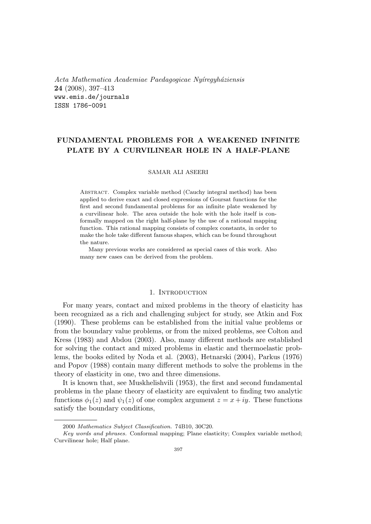Acta Mathematica Academiae Paedagogicae Nyíregyháziensis 24 (2008), 397–413 www.emis.de/journals ISSN 1786-0091

# FUNDAMENTAL PROBLEMS FOR A WEAKENED INFINITE PLATE BY A CURVILINEAR HOLE IN A HALF-PLANE

#### SAMAR ALI ASEERI

Abstract. Complex variable method (Cauchy integral method) has been applied to derive exact and closed expressions of Goursat functions for the first and second fundamental problems for an infinite plate weakened by a curvilinear hole. The area outside the hole with the hole itself is conformally mapped on the right half-plane by the use of a rational mapping function. This rational mapping consists of complex constants, in order to make the hole take different famous shapes, which can be found throughout the nature.

Many previous works are considered as special cases of this work. Also many new cases can be derived from the problem.

### 1. INTRODUCTION

For many years, contact and mixed problems in the theory of elasticity has been recognized as a rich and challenging subject for study, see Atkin and Fox (1990). These problems can be established from the initial value problems or from the boundary value problems, or from the mixed problems, see Colton and Kress (1983) and Abdou (2003). Also, many different methods are established for solving the contact and mixed problems in elastic and thermoelastic problems, the books edited by Noda et al. (2003), Hetnarski (2004), Parkus (1976) and Popov (1988) contain many different methods to solve the problems in the theory of elasticity in one, two and three dimensions.

It is known that, see Muskhelishvili (1953), the first and second fundamental problems in the plane theory of elasticity are equivalent to finding two analytic functions  $\phi_1(z)$  and  $\psi_1(z)$  of one complex argument  $z = x + iy$ . These functions satisfy the boundary conditions,

<sup>2000</sup> Mathematics Subject Classification. 74B10, 30C20.

Key words and phrases. Conformal mapping; Plane elasticity; Complex variable method; Curvilinear hole; Half plane.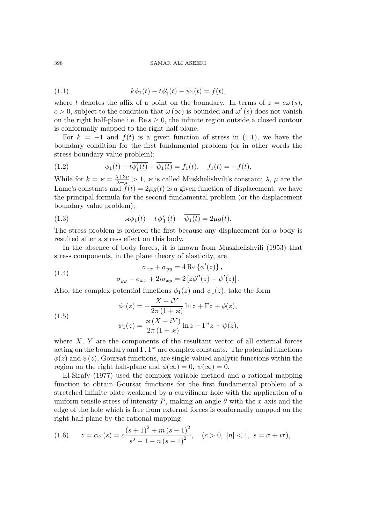(1.1) 
$$
k\phi_1(t) - t\overline{\phi'_1(t)} - \overline{\psi_1(t)} = f(t),
$$

where t denotes the affix of a point on the boundary. In terms of  $z = c\omega(s)$ ,  $c > 0$ , subject to the condition that  $\omega(\infty)$  is bounded and  $\omega'(s)$  does not vanish on the right half-plane i.e.  $\text{Re } s \geq 0$ , the infinite region outside a closed contour is conformally mapped to the right half-plane.

For  $k = -1$  and  $f(t)$  is a given function of stress in (1.1), we have the boundary condition for the first fundamental problem (or in other words the stress boundary value problem);

(1.2) 
$$
\phi_1(t) + t \overline{\phi'_1(t)} + \overline{\psi_1(t)} = f_1(t), \quad f_1(t) = -f(t).
$$

While for  $k = \varkappa = \frac{\lambda + 3\mu}{\lambda + \mu} > 1$ ,  $\varkappa$  is called Muskhelishvili's constant;  $\lambda$ ,  $\mu$  are the Lame's constants and  $f(t) = 2\mu g(t)$  is a given function of displacement, we have the principal formula for the second fundamental problem (or the displacement boundary value problem);

(1.3) 
$$
\varkappa \phi_1(t) - t \overline{\phi'_1(t)} - \overline{\psi_1(t)} = 2\mu g(t).
$$

The stress problem is ordered the first because any displacement for a body is resulted after a stress effect on this body.

In the absence of body forces, it is known from Muskhelishvili (1953) that stress components, in the plane theory of elasticity, are

(1.4) 
$$
\sigma_{xx} + \sigma_{yy} = 4 \operatorname{Re} \{ \phi'(z) \},
$$

$$
\sigma_{yy} - \sigma_{xx} + 2i \sigma_{xy} = 2 \left[ \bar{z} \phi''(z) + \psi'(z) \right].
$$

Also, the complex potential functions  $\phi_1(z)$  and  $\psi_1(z)$ , take the form

(1.5)  

$$
\phi_1(z) = -\frac{X + iY}{2\pi (1 + \varkappa)} \ln z + \Gamma z + \phi(z),
$$

$$
\psi_1(z) = \frac{\varkappa (X - iY)}{2\pi (1 + \varkappa)} \ln z + \Gamma^* z + \psi(z),
$$

where  $X, Y$  are the components of the resultant vector of all external forces acting on the boundary and  $\Gamma$ ,  $\Gamma^*$  are complex constants. The potential functions  $\phi(z)$  and  $\psi(z)$ , Goursat functions, are single-valued analytic functions within the region on the right half-plane and  $\phi(\infty) = 0$ ,  $\psi(\infty) = 0$ .

El-Sirafy (1977) used the complex variable method and a rational mapping function to obtain Goursat functions for the first fundamental problem of a stretched infinite plate weakened by a curvilinear hole with the application of a uniform tensile stress of intensity P, making an angle  $\theta$  with the x-axis and the edge of the hole which is free from external forces is conformally mapped on the right half-plane by the rational mapping

(1.6) 
$$
z = c\omega(s) = c\frac{(s+1)^2 + m(s-1)^2}{s^2 - 1 - n(s-1)^2}, \quad (c > 0, |n| < 1, s = \sigma + i\tau),
$$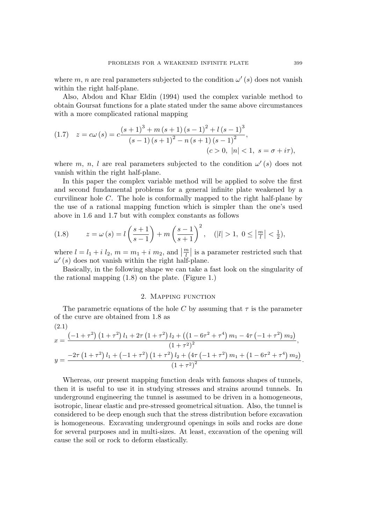where m, n are real parameters subjected to the condition  $\omega'(s)$  does not vanish within the right half-plane.

Also, Abdou and Khar Eldin (1994) used the complex variable method to obtain Goursat functions for a plate stated under the same above circumstances with a more complicated rational mapping

$$
(1.7) \quad z = c\omega(s) = c\frac{(s+1)^3 + m(s+1)(s-1)^2 + l(s-1)^3}{(s-1)(s+1)^2 - n(s+1)(s-1)^2},
$$
\n
$$
(c > 0, |n| < 1, s = \sigma + i\tau),
$$

where m, n, l are real parameters subjected to the condition  $\omega'(s)$  does not vanish within the right half-plane.

In this paper the complex variable method will be applied to solve the first and second fundamental problems for a general infinite plate weakened by a curvilinear hole C. The hole is conformally mapped to the right half-plane by the use of a rational mapping function which is simpler than the one's used above in 1.6 and 1.7 but with complex constants as follows

(1.8) 
$$
z = \omega(s) = l\left(\frac{s+1}{s-1}\right) + m\left(\frac{s-1}{s+1}\right)^2, \quad (|l| > 1, 0 \le |\frac{m}{l}| < \frac{1}{2}),
$$

where  $l = l_1 + i l_2$ ,  $m = m_1 + i m_2$ , and  $\left| \frac{m}{l} \right|$  $\frac{1}{\sqrt{2}}$  is a parameter restricted such that  $\omega'(s)$  does not vanish within the right half-plane.

Basically, in the following shape we can take a fast look on the singularity of the rational mapping (1.8) on the plate. (Figure 1.)

#### 2. Mapping function

The parametric equations of the hole C by assuming that  $\tau$  is the parameter of the curve are obtained from 1.8 as  $(2.1)$ 

$$
x = \frac{(-1+\tau^2)(1+\tau^2)l_1 + 2\tau(1+\tau^2)l_2 + ((1-6\tau^2+\tau^4) m_1 - 4\tau(-1+\tau^2) m_2)}{(1+\tau^2)^2},
$$
  
\n
$$
y = \frac{-2\tau(1+\tau^2)l_1 + (-1+\tau^2)(1+\tau^2)l_2 + (4\tau(-1+\tau^2) m_1 + (1-6\tau^2+\tau^4) m_2)}{(1+\tau^2)^2}.
$$

Whereas, our present mapping function deals with famous shapes of tunnels, then it is useful to use it in studying stresses and strains around tunnels. In underground engineering the tunnel is assumed to be driven in a homogeneous, isotropic, linear elastic and pre-stressed geometrical situation. Also, the tunnel is considered to be deep enough such that the stress distribution before excavation is homogeneous. Excavating underground openings in soils and rocks are done for several purposes and in multi-sizes. At least, excavation of the opening will cause the soil or rock to deform elastically.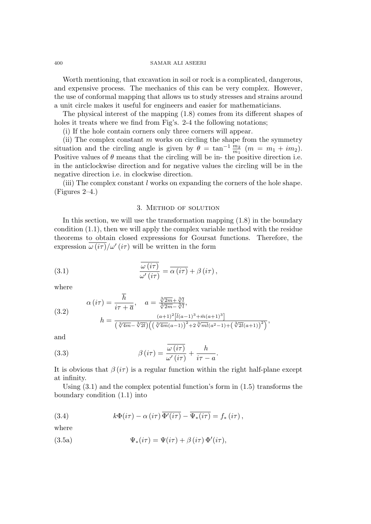#### 400 SAMAR ALI ASEERI

Worth mentioning, that excavation in soil or rock is a complicated, dangerous, and expensive process. The mechanics of this can be very complex. However, the use of conformal mapping that allows us to study stresses and strains around a unit circle makes it useful for engineers and easier for mathematicians.

The physical interest of the mapping (1.8) comes from its different shapes of holes it treats where we find from Fig's. 2-4 the following notations;

(i) If the hole contain corners only three corners will appear.

(ii) The complex constant  $m$  works on circling the shape from the symmetry situation and the circling angle is given by  $\theta = \tan^{-1} \frac{m_2}{m_1}$   $(m = m_1 + i m_2)$ . Positive values of  $\theta$  means that the circling will be in-the positive direction i.e. in the anticlockwise direction and for negative values the circling will be in the negative direction i.e. in clockwise direction.

(iii) The complex constant  $l$  works on expanding the corners of the hole shape. (Figures 2–4.)

### 3. Method of solution

In this section, we will use the transformation mapping (1.8) in the boundary condition (1.1), then we will apply the complex variable method with the residue theorems to obtain closed expressions for Goursat functions. Therefore, the expression  $\overline{\omega(i\tau)}/\omega'(i\tau)$  will be written in the form

(3.1) 
$$
\frac{\overline{\omega(i\tau)}}{\omega'(i\tau)} = \overline{\alpha(i\tau)} + \beta(i\tau),
$$

where

(3.2) 
$$
\alpha(i\tau) = \frac{\overline{h}}{i\tau + \overline{a}}, \quad a = \frac{\sqrt[3]{2m} + \sqrt[3]{l}}{\sqrt[3]{2m} - \sqrt[3]{l}}, \nh = \frac{(a+1)^2 [\overline{l}(a-1)^3 + \overline{m}(a+1)^3]}{(\sqrt[3]{4m} - \sqrt[3]{2l})(\left(\sqrt[3]{4m}(a-1)\right)^2 + 2\sqrt[3]{m}l(a^2-1) + \left(\sqrt[3]{2l}(a+1)\right)^2)},
$$

and

(3.3) 
$$
\beta(i\tau) = \frac{\omega(i\tau)}{\omega'(i\tau)} + \frac{h}{i\tau - a}.
$$

It is obvious that  $\beta(i\tau)$  is a regular function within the right half-plane except at infinity.

Using  $(3.1)$  and the complex potential function's form in  $(1.5)$  transforms the boundary condition (1.1) into

(3.4) 
$$
k\Phi(i\tau) - \alpha (i\tau) \overline{\Phi'(i\tau)} - \overline{\Psi_*(i\tau)} = f_*(i\tau),
$$

where

(3.5a) 
$$
\Psi_*(i\tau) = \Psi(i\tau) + \beta(i\tau)\,\Phi'(i\tau),
$$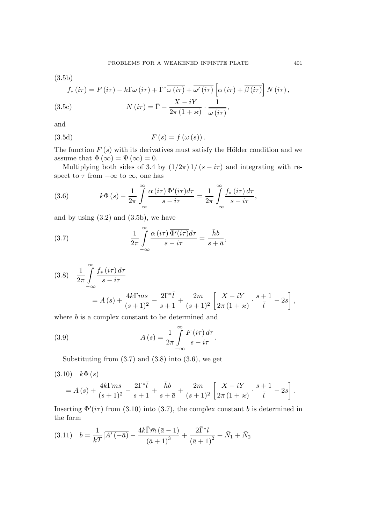$$
(3.5b)
$$

(3.56)  
\n
$$
f_{*}(i\tau) = F(i\tau) - k\Gamma\omega(i\tau) + \bar{\Gamma}^{*}\overline{\omega(i\tau)} + \overline{\omega'(i\tau)} \left[\alpha(i\tau) + \overline{\beta(i\tau)}\right] N(i\tau),
$$
\n(3.5c)  
\n
$$
N(i\tau) = \bar{\Gamma} - \frac{X - iY}{2\pi(1 + \varkappa)} \cdot \frac{1}{\overline{\omega(i\tau)}},
$$

and

$$
(3.5d) \tF(s) = f(\omega(s)).
$$

The function  $F(s)$  with its derivatives must satisfy the Hölder condition and we assume that  $\Phi(\infty) = \Psi(\infty) = 0$ .

Multiplying both sides of 3.4 by  $\left(\frac{1}{2\pi}\right)\frac{1}{s-i\tau}$  and integrating with respect to  $\tau$  from  $-\infty$  to  $\infty$ , one has

(3.6) 
$$
k\Phi(s) - \frac{1}{2\pi} \int_{-\infty}^{\infty} \frac{\alpha(\mathrm{i}\tau) \overline{\Phi'(\mathrm{i}\tau)} d\tau}{s - \mathrm{i}\tau} = \frac{1}{2\pi} \int_{-\infty}^{\infty} \frac{f_*(\mathrm{i}\tau) d\tau}{s - \mathrm{i}\tau},
$$

and by using  $(3.2)$  and  $(3.5b)$ , we have

(3.7) 
$$
\frac{1}{2\pi} \int_{-\infty}^{\infty} \frac{\alpha(i\tau) \overline{\Phi'(i\tau)} d\tau}{s - i\tau} = \frac{\overline{h}b}{s + \overline{a}},
$$

(3.8) 
$$
\frac{1}{2\pi} \int_{-\infty}^{\infty} \frac{f_*(i\tau) d\tau}{s - i\tau} = A(s) + \frac{4k\Gamma ms}{(s+1)^2} - \frac{2\Gamma^*\bar{l}}{s+1} + \frac{2m}{(s+1)^2} \left[ \frac{X - iY}{2\pi (1 + \varkappa)} \cdot \frac{s+1}{\bar{l}} - 2s \right],
$$

where  $b$  is a complex constant to be determined and

(3.9) 
$$
A(s) = \frac{1}{2\pi} \int_{-\infty}^{\infty} \frac{F(i\tau) d\tau}{s - i\tau}.
$$

Substituting from  $(3.7)$  and  $(3.8)$  into  $(3.6)$ , we get

$$
(3.10) \quad k\Phi(s) = A(s) + \frac{4k\Gamma ms}{(s+1)^2} - \frac{2\Gamma^*\bar{l}}{s+1} + \frac{\bar{h}b}{s+\bar{a}} + \frac{2m}{(s+1)^2} \left[ \frac{X - iY}{2\pi (1+\varkappa)} \cdot \frac{s+1}{\bar{l}} - 2s \right].
$$

Inserting  $\overline{\Phi'(i\tau)}$  from (3.10) into (3.7), the complex constant b is determined in the form

$$
(3.11) \quad b = \frac{1}{kT} \left[ \overline{A'(-\bar{a})} - \frac{4k\bar{\Gamma}\bar{m}(\bar{a}-1)}{(\bar{a}+1)^3} + \frac{2\bar{\Gamma}^*l}{(\bar{a}+1)^2} + \bar{N}_1 + \bar{N}_2 \right]
$$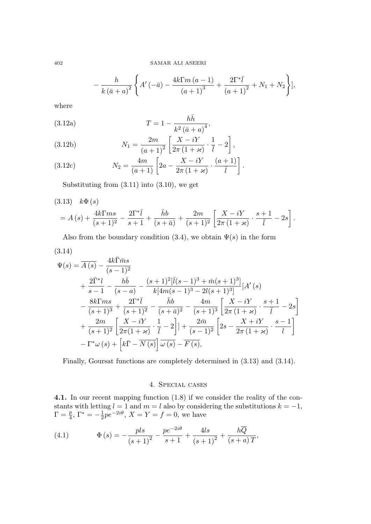$$
-\frac{h}{k(\bar{a}+a)^2} \left\{ A'(-\bar{a}) - \frac{4k\Gamma m (a-1)}{(a+1)^3} + \frac{2\Gamma^* \bar{l}}{(a+1)^2} + N_1 + N_2 \right\},\,
$$

(3.12a) 
$$
T = 1 - \frac{h\bar{h}}{k^2 (\bar{a} + a)^4},
$$

(3.12b) 
$$
N_1 = \frac{2m}{(a+1)^2} \left[ \frac{X - iY}{2\pi (1+x)} \cdot \frac{1}{l} - 2 \right],
$$

(3.12c) 
$$
N_2 = \frac{4m}{(a+1)} \left[2a - \frac{X - iY}{2\pi (1 + \varkappa)} \cdot \frac{(a+1)}{\overline{l}}\right].
$$

Substituting from (3.11) into (3.10), we get

(3.13) 
$$
k\Phi(s)
$$
  
=  $A(s) + \frac{4k\Gamma ms}{(s+1)^2} - \frac{2\Gamma^*\bar{l}}{s+1} + \frac{\bar{h}b}{(s+\bar{a})} + \frac{2m}{(s+1)^2} \left[ \frac{X - iY}{2\pi (1+\varkappa)} \cdot \frac{s+1}{\bar{l}} - 2s \right].$ 

Also from the boundary condition (3.4), we obtain  $\Psi(s)$  in the form

$$
(3.14)
$$

$$
\Psi(s) = \overline{A(s)} - \frac{4k\overline{1}ms}{(s-1)^2} \n+ \frac{2\overline{\Gamma}^*l}{s-1} - \frac{h\overline{b}}{(s-a)} - \frac{(s+1)^2[\overline{l}(s-1)^3 + \overline{m}(s+1)^3]}{k[4m(s-1)^3 - 2l(s+1)^3]} [A'(s) \n- \frac{8k\Gamma ms}{(s+1)^3} + \frac{2\Gamma^*\overline{l}}{(s+1)^2} - \frac{\overline{h}b}{(s+\overline{a})^2} - \frac{4m}{(s+1)^3} \left[ \frac{X - iY}{2\pi(1+x)} \cdot \frac{s+1}{\overline{l}} - 2s \right] \n+ \frac{2m}{(s+1)^2} \left[ \frac{X - iY}{2\pi(1+x)} \cdot \frac{1}{\overline{l}} - 2 \right] + \frac{2\overline{m}}{(s-1)^2} \left[ 2s - \frac{X + iY}{2\pi(1+x)} \cdot \frac{s-1}{\overline{l}} \right] \n- \Gamma^* \omega(s) + \left[ k\overline{l} - \overline{N}(s) \right] \overline{\omega(s)} - \overline{F(s)},
$$

Finally, Goursat functions are completely determined in (3.13) and (3.14).

## 4. Special cases

4.1. In our recent mapping function (1.8) if we consider the reality of the constants with letting  $l = 1$  and  $m = l$  also by considering the substitutions  $k = -1$ ,  $\Gamma = \frac{p}{4}, \Gamma^* = -\frac{1}{2}pe^{-2i\theta}, X = Y = f = 0$ , we have

(4.1) 
$$
\Phi(s) = -\frac{pls}{(s+1)^2} - \frac{pe^{-2i\theta}}{s+1} + \frac{4ls}{(s+1)^2} + \frac{h\overline{Q}}{(s+a)T},
$$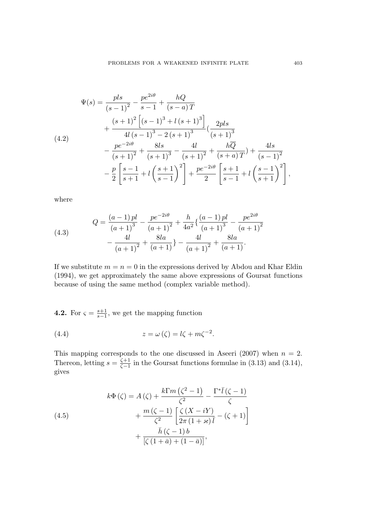$$
\Psi(s) = \frac{pls}{(s-1)^2} - \frac{pe^{2i\theta}}{s-1} + \frac{hQ}{(s-a)T} \n+ \frac{(s+1)^2 \left[ (s-1)^3 + l (s+1)^3 \right]}{4l (s-1)^3 - 2 (s+1)^3} \left( \frac{2pls}{(s+1)^3} - \frac{pe^{-2i\theta}}{(s+1)^2} + \frac{8ls}{(s+1)^3} - \frac{4l}{(s+1)^2} + \frac{hQ}{(s+a)T} \right) + \frac{4ls}{(s-1)^2} \n- \frac{p}{2} \left[ \frac{s-1}{s+1} + l \left( \frac{s+1}{s-1} \right)^2 \right] + \frac{pe^{-2i\theta}}{2} \left[ \frac{s+1}{s-1} + l \left( \frac{s-1}{s+1} \right)^2 \right],
$$

(4.3) 
$$
Q = \frac{(a-1)pl}{(a+1)^3} - \frac{pe^{-2i\theta}}{(a+1)^2} + \frac{h}{4a^2} \left\{ \frac{(a-1)pl}{(a+1)^3} - \frac{pe^{2i\theta}}{(a+1)^2} - \frac{4l}{(a+1)^2} + \frac{8la}{(a+1)} \right\} - \frac{4l}{(a+1)^2} + \frac{8la}{(a+1)^2} + \frac{8la}{(a+1)}.
$$

If we substitute  $m = n = 0$  in the expressions derived by Abdou and Khar Eldin (1994), we get approximately the same above expressions of Goursat functions because of using the same method (complex variable method).

**4.2.** For  $\varsigma = \frac{s+1}{s-1}$ , we get the mapping function

(4.4) 
$$
z = \omega(\zeta) = l\zeta + m\zeta^{-2}.
$$

This mapping corresponds to the one discussed in Aseeri (2007) when  $n = 2$ . Thereon, letting  $s = \frac{\zeta + 1}{\zeta - 1}$  in the Goursat functions formulae in (3.13) and (3.14), gives

(4.5)  

$$
k\Phi(\zeta) = A(\zeta) + \frac{k\Gamma m\left(\zeta^2 - 1\right)}{\zeta^2} - \frac{\Gamma^* \bar{l}(\zeta - 1)}{\zeta} + \frac{m\left(\zeta - 1\right)}{\zeta^2} \left[ \frac{\zeta\left(X - iY\right)}{2\pi\left(1 + \varkappa\right) \bar{l}} - (\zeta + 1) \right] + \frac{\bar{h}(\zeta - 1)b}{\left[\zeta\left(1 + \bar{a}\right) + \left(1 - \bar{a}\right)\right]},
$$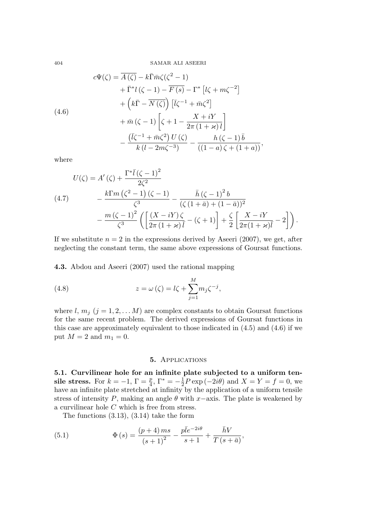$$
c\Psi(\zeta) = \overline{A(\zeta)} - k\overline{\Gamma}\bar{m}\zeta(\zeta^2 - 1)
$$
  
+ 
$$
\overline{\Gamma}^*l(\zeta - 1) - \overline{F(s)} - \Gamma^* [l\zeta + m\zeta^{-2}]
$$
  
+ 
$$
(4.6)
$$
  
+ 
$$
\overline{m}(\zeta - 1) \left[ \zeta + 1 - \frac{X + iY}{2\pi(1 + \varkappa)l} \right]
$$
  
- 
$$
\frac{(\overline{l}\zeta^{-1} + \overline{m}\zeta^2) U(\zeta)}{k(l - 2m\zeta^{-3})} - \frac{h(\zeta - 1)\overline{b}}{((1 - a)\zeta + (1 + a))},
$$

$$
U(\zeta) = A'(\zeta) + \frac{\Gamma^* \bar{l} (\zeta - 1)^2}{2\zeta^2}
$$
  
(4.7) 
$$
- \frac{k \Gamma m (\zeta^2 - 1) (\zeta - 1)}{\zeta^3} - \frac{\bar{h} (\zeta - 1)^2 b}{(\zeta (1 + \bar{a}) + (1 - \bar{a}))^2}
$$

$$
- \frac{m (\zeta - 1)^2}{\zeta^3} \left( \left[ \frac{(X - iY)\zeta}{2\pi (1 + \varkappa)} \bar{l} - (\zeta + 1) \right] + \frac{\zeta}{2} \left[ \frac{X - iY}{2\pi (1 + \varkappa)} \bar{l} - 2 \right] \right).
$$

If we substitute  $n = 2$  in the expressions derived by Aseeri (2007), we get, after neglecting the constant term, the same above expressions of Goursat functions.

4.3. Abdou and Aseeri (2007) used the rational mapping

(4.8) 
$$
z = \omega(\zeta) = l\zeta + \sum_{j=1}^{M} m_j \zeta^{-j},
$$

where l,  $m_j$   $(j = 1, 2, \ldots M)$  are complex constants to obtain Goursat functions for the same recent problem. The derived expressions of Goursat functions in this case are approximately equivalent to those indicated in (4.5) and (4.6) if we put  $M = 2$  and  $m_1 = 0$ .

### 5. Applications

5.1. Curvilinear hole for an infinite plate subjected to a uniform tensile stress. For  $k = -1$ ,  $\Gamma = \frac{p}{4}$ ,  $\Gamma^* = -\frac{1}{2}P \exp(-2i\theta)$  and  $X = Y = f = 0$ , we have an infinite plate stretched at infinity by the application of a uniform tensile stress of intensity P, making an angle  $\theta$  with x−axis. The plate is weakened by a curvilinear hole C which is free from stress.

The functions (3.13), (3.14) take the form

(5.1) 
$$
\Phi(s) = \frac{(p+4)ms}{(s+1)^2} - \frac{p\bar{l}e^{-2i\theta}}{s+1} + \frac{\bar{h}V}{T(s+\bar{a})},
$$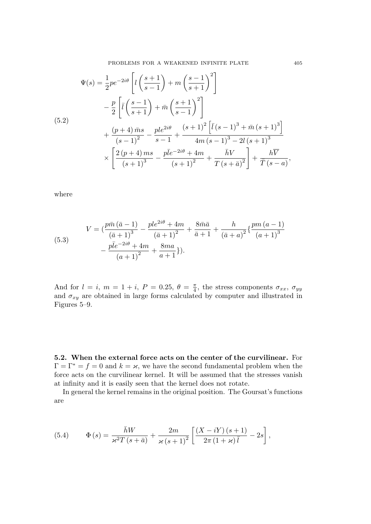$$
\Psi(s) = \frac{1}{2} p e^{-2i\theta} \left[ l \left( \frac{s+1}{s-1} \right) + m \left( \frac{s-1}{s+1} \right)^2 \right] \n- \frac{p}{2} \left[ \bar{l} \left( \frac{s-1}{s+1} \right) + \bar{m} \left( \frac{s+1}{s-1} \right)^2 \right] \n+ \frac{(p+4)\bar{m}s}{(s-1)^2} - \frac{p l e^{2i\theta}}{s-1} + \frac{(s+1)^2 \left[ \bar{l} \left( s-1 \right)^3 + \bar{m} \left( s+1 \right)^3 \right]}{4m \left( s-1 \right)^3 - 2l \left( s+1 \right)^3} \n\times \left[ \frac{2 \left( p+4 \right) m s}{\left( s+1 \right)^3} - \frac{p \bar{l} e^{-2i\theta} + 4m}{\left( s+1 \right)^2} + \frac{\bar{h} V}{T \left( s+\bar{a} \right)^2} \right] + \frac{h \bar{V}}{\bar{T} \left( s-a \right)},
$$

(5.3)  

$$
V = \left(\frac{p\bar{m}(\bar{a}-1)}{(\bar{a}+1)^3} - \frac{ple^{2i\theta} + 4m}{(\bar{a}+1)^2} + \frac{8\bar{m}\bar{a}}{\bar{a}+1} + \frac{h}{(\bar{a}+a)^2} \left\{ \frac{pm(a-1)}{(a+1)^3} - \frac{p\bar{b}e^{-2i\theta} + 4m}{(a+1)^2} + \frac{8ma}{a+1} \right\} \right).
$$

And for  $l = i$ ,  $m = 1 + i$ ,  $P = 0.25$ ,  $\theta = \frac{\pi}{4}$ , the stress components  $\sigma_{xx}$ ,  $\sigma_{yy}$ and  $\sigma_{xy}$  are obtained in large forms calculated by computer and illustrated in Figures 5–9.

5.2. When the external force acts on the center of the curvilinear. For  $\Gamma = \Gamma^* = f = 0$  and  $k = \varkappa$ , we have the second fundamental problem when the force acts on the curvilinear kernel. It will be assumed that the stresses vanish at infinity and it is easily seen that the kernel does not rotate.

In general the kernel remains in the original position. The Goursat's functions are

(5.4) 
$$
\Phi(s) = \frac{\bar{h}W}{\varkappa^2 T (s + \bar{a})} + \frac{2m}{\varkappa (s+1)^2} \left[ \frac{(X - iY)(s+1)}{2\pi (1 + \varkappa) \bar{l}} - 2s \right],
$$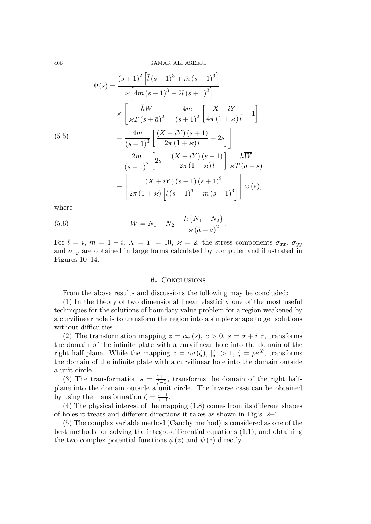$$
\Psi(s) = \frac{(s+1)^2 \left[ \bar{l} (s-1)^3 + \bar{m} (s+1)^3 \right]}{\varkappa \left[ 4m (s-1)^3 - 2l (s+1)^3 \right]}
$$
\n
$$
\times \left[ \frac{\bar{h} W}{\varkappa T (s+\bar{a})^2} - \frac{4m}{(s+1)^2} \left[ \frac{X - iY}{4\pi (1+\varkappa)\bar{l}} - 1 \right] + \frac{4m}{(s+1)^3} \left[ \frac{(X - iY)(s+1)}{2\pi (1+\varkappa)\bar{l}} - 2s \right] + \frac{2\bar{m}}{(s-1)^2} \left[ 2s - \frac{(X + iY)(s-1)}{2\pi (1+\varkappa)l} \right] \frac{h\bar{W}}{\varkappa \bar{T}(a-s)}
$$
\n
$$
+ \left[ \frac{(X + iY)(s-1)(s+1)^2}{2\pi (1+\varkappa)\left[ l (s+1)^3 + m (s-1)^3 \right]} \right] \overline{\omega(s)},
$$

(5.6) 
$$
W = \overline{N_1} + \overline{N_2} - \frac{h\{N_1 + N_2\}}{\varkappa (\bar{a} + a)^2}.
$$

For  $l = i$ ,  $m = 1 + i$ ,  $X = Y = 10$ ,  $\varkappa = 2$ , the stress components  $\sigma_{xx}$ ,  $\sigma_{yy}$ and  $\sigma_{xy}$  are obtained in large forms calculated by computer and illustrated in Figures 10–14.

### 6. Conclusions

From the above results and discussions the following may be concluded:

(1) In the theory of two dimensional linear elasticity one of the most useful techniques for the solutions of boundary value problem for a region weakened by a curvilinear hole is to transform the region into a simpler shape to get solutions without difficulties.

(2) The transformation mapping  $z = c\omega(s)$ ,  $c > 0$ ,  $s = \sigma + i\tau$ , transforms the domain of the infinite plate with a curvilinear hole into the domain of the right half-plane. While the mapping  $z = c\omega(\zeta), |\zeta| > 1, \zeta = \rho e^{i\theta}$ , transforms the domain of the infinite plate with a curvilinear hole into the domain outside a unit circle.

(3) The transformation  $s = \frac{\zeta+1}{\zeta-1}$ , transforms the domain of the right halfplane into the domain outside a unit circle. The inverse case can be obtained by using the transformation  $\zeta = \frac{s+1}{s-1}$ .

(4) The physical interest of the mapping (1.8) comes from its different shapes of holes it treats and different directions it takes as shown in Fig's. 2–4.

(5) The complex variable method (Cauchy method) is considered as one of the best methods for solving the integro-differential equations (1.1), and obtaining the two complex potential functions  $\phi(z)$  and  $\psi(z)$  directly.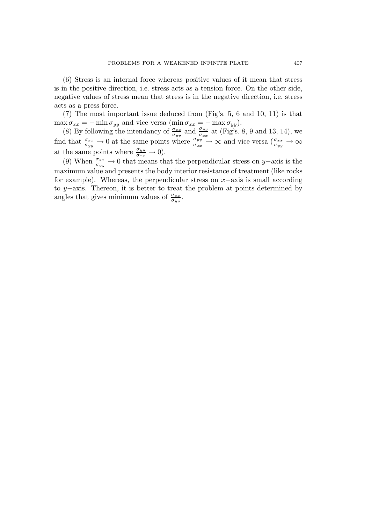(6) Stress is an internal force whereas positive values of it mean that stress is in the positive direction, i.e. stress acts as a tension force. On the other side, negative values of stress mean that stress is in the negative direction, i.e. stress acts as a press force.

(7) The most important issue deduced from (Fig's. 5, 6 and 10, 11) is that  $\max \sigma_{xx} = -\min \sigma_{yy}$  and vice versa  $(\min \sigma_{xx} = -\max \sigma_{yy}).$ 

(8) By following the intendancy of  $\frac{\sigma_{xx}}{\sigma_{yy}}$  and  $\frac{\sigma_{yy}}{\sigma_{xx}}$  at (Fig's. 8, 9 and 13, 14), we find that  $\frac{\sigma_{xx}}{\sigma_{yy}} \to 0$  at the same points where  $\frac{\sigma_{yy}}{\sigma_{xx}} \to \infty$  and vice versa  $\left(\frac{\sigma_{xx}}{\sigma_{yy}} \to \infty\right)$ at the same points where  $\frac{\sigma_{yy}}{\sigma_{xx}} \to 0$ ).

(9) When  $\frac{\sigma_{xx}}{\sigma_{yy}} \to 0$  that means that the perpendicular stress on y–axis is the maximum value and presents the body interior resistance of treatment (like rocks for example). Whereas, the perpendicular stress on  $x$ -axis is small according to y−axis. Thereon, it is better to treat the problem at points determined by angles that gives minimum values of  $\frac{\sigma_{xx}}{\sigma_{yy}}$ .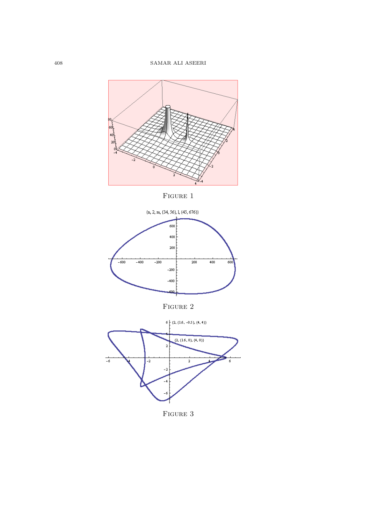

FIGURE 1



 $\tt FIGURE$   $2$ 



 $\tt FIGURE$  3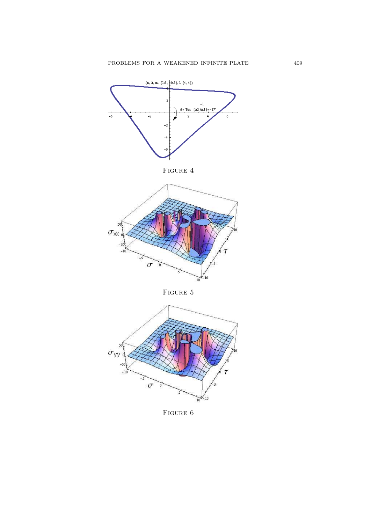

 $\sigma$  $\frac{1}{10}$  $\mathbb{R}^4$ 

FIGURE 6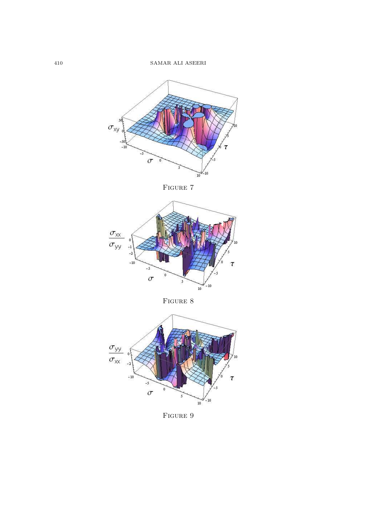

 $\tt FIGURE$   $\tt 7$ 



FIGURE 8



 $\tt FIGURE$ 9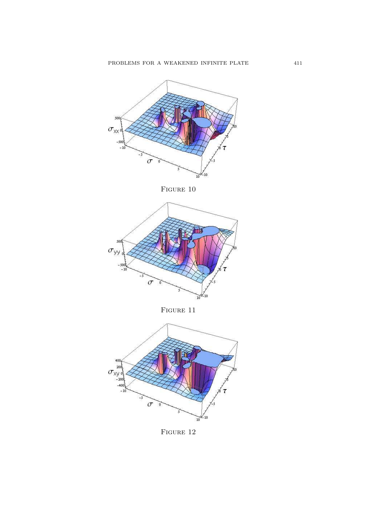

 $\tt FIGURE$ 10



 $\tt FIGURE$ 11



 $\tt FIGURE$ 12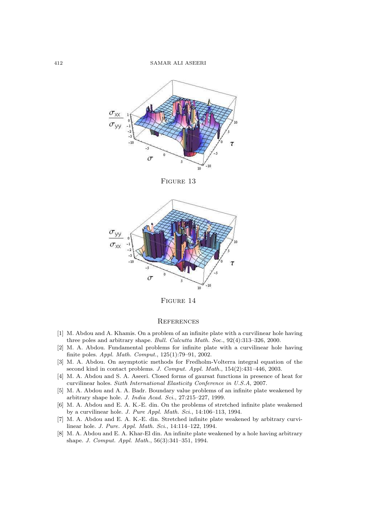

FIGURE 13



FIGURE 14

#### **REFERENCES**

- [1] M. Abdou and A. Khamis. On a problem of an infinite plate with a curvilinear hole having three poles and arbitrary shape. Bull. Calcutta Math. Soc., 92(4):313–326, 2000.
- [2] M. A. Abdou. Fundamental problems for infinite plate with a curvilinear hole having finite poles. Appl. Math. Comput., 125(1):79–91, 2002.
- [3] M. A. Abdou. On asymptotic methods for Fredholm-Volterra integral equation of the second kind in contact problems. J. Comput. Appl. Math., 154(2):431–446, 2003.
- [4] M. A. Abdou and S. A. Aseeri. Closed forms of gaursat functions in presence of heat for curvilinear holes. Sixth International Elasticity Conference in U.S.A, 2007.
- [5] M. A. Abdou and A. A. Badr. Boundary value problems of an infinite plate weakened by arbitrary shape hole. J. India Acad. Sci., 27:215–227, 1999.
- [6] M. A. Abdou and E. A. K.-E. din. On the problems of stretched infinite plate weakened by a curvilinear hole. J. Pure Appl. Math. Sci., 14:106–113, 1994.
- [7] M. A. Abdou and E. A. K.-E. din. Stretched infinite plate weakened by arbitrary curvilinear hole. J. Pure. Appl. Math. Sci., 14:114–122, 1994.
- [8] M. A. Abdou and E. A. Khar-El din. An infinite plate weakened by a hole having arbitrary shape. J. Comput. Appl. Math., 56(3):341–351, 1994.